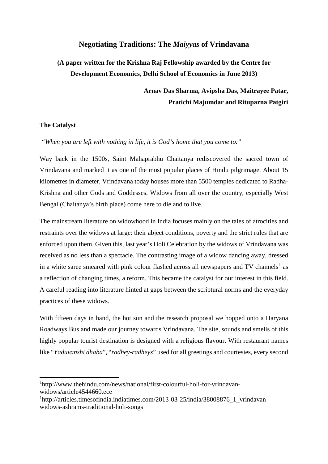## **Negotiating Traditions: The** *Maiyyas* **of Vrindavana**

# **(A paper written for the Krishna Raj Fellowship awarded by the Centre for Development Economics, Delhi School of Economics in June 2013)**

**Arnav Das Sharma, Avipsha Das, Maitrayee Patar, Pratichi Majumdar and Rituparna Patgiri**

## **The Catalyst**

 $\overline{a}$ 

*"When you are left with nothing in life, it is God's home that you come to."* 

Way back in the 1500s, Saint Mahaprabhu Chaitanya rediscovered the sacred town of Vrindavana and marked it as one of the most popular places of Hindu pilgrimage. About 15 kilometres in diameter, Vrindavana today houses more than 5500 temples dedicated to Radha-Krishna and other Gods and Goddesses. Widows from all over the country, especially West Bengal (Chaitanya's birth place) come here to die and to live.

The mainstream literature on widowhood in India focuses mainly on the tales of atrocities and restraints over the widows at large: their abject conditions, poverty and the strict rules that are enforced upon them. Given this, last year's Holi Celebration by the widows of Vrindavana was received as no less than a spectacle. The contrasting image of a widow dancing away, dressed in a white saree smeared with pink colour flashed across all newspapers and TV channels<sup>[1](#page-0-0)</sup> as a reflection of changing times, a reform. This became the catalyst for our interest in this field. A careful reading into literature hinted at gaps between the scriptural norms and the everyday practices of these widows.

With fifteen days in hand, the hot sun and the research proposal we hopped onto a Haryana Roadways Bus and made our journey towards Vrindavana. The site, sounds and smells of this highly popular tourist destination is designed with a religious flavour. With restaurant names like "*Yaduvanshi dhaba*", "*radhey*-*radheys*" used for all greetings and courtesies, every second

<span id="page-0-0"></span>1 [http://www.thehindu.com/news/national/first-colourful-holi-for-vrindavan](http://www.thehindu.com/news/national/first-colourful-holi-for-vrindavan-widows/article4544660.ece)[widows/article4544660.ece](http://www.thehindu.com/news/national/first-colourful-holi-for-vrindavan-widows/article4544660.ece)

<sup>&</sup>lt;sup>1</sup>[http://articles.timesofindia.indiatimes.com/2013-03-25/india/38008876\\_1\\_vrindavan](http://articles.timesofindia.indiatimes.com/2013-03-25/india/38008876_1_vrindavan-widows-ashrams-traditional-holi-songs)[widows-ashrams-traditional-holi-songs](http://articles.timesofindia.indiatimes.com/2013-03-25/india/38008876_1_vrindavan-widows-ashrams-traditional-holi-songs)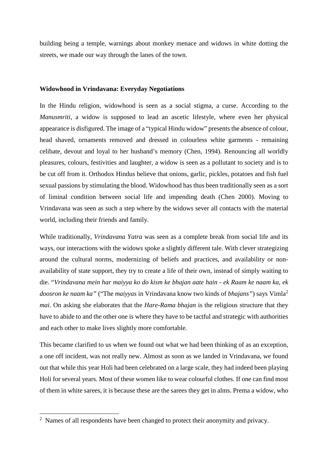building being a temple, warnings about monkey menace and widows in white dotting the streets, we made our way through the lanes of the town.

#### **Widowhood in Vrindavana: Everyday Negotiations**

In the Hindu religion, widowhood is seen as a social stigma, a curse. According to the *Manusmriti*, a widow is supposed to lead an ascetic lifestyle, where even her physical appearance is disfigured. The image of a "typical Hindu widow" presents the absence of colour, head shaved, ornaments removed and dressed in colourless white garments - remaining celibate, devout and loyal to her husband's memory (Chen, 1994). Renouncing all worldly pleasures, colours, festivities and laughter, a widow is seen as a pollutant to society and is to be cut off from it. Orthodox Hindus believe that onions, garlic, pickles, potatoes and fish fuel sexual passions by stimulating the blood. Widowhood has thus been traditionally seen as a sort of liminal condition between social life and impending death (Chen 2000). Moving to Vrindavana was seen as such a step where by the widows sever all contacts with the material world, including their friends and family.

While traditionally, *Vrindavana Yatra* was seen as a complete break from social life and its ways, our interactions with the widows spoke a slightly different tale. With clever strategizing around the cultural norms, modernizing of beliefs and practices, and availability or nonavailability of state support, they try to create a life of their own, instead of simply waiting to die. "*Vrindavana mein har maiyya ko do kism ke bhajan aate hain - ek Raam ke naam ka, ek doosron ke naam ka"* ("The *maiyyas* in Vrindavana know two kinds of *bhajans"*) says Vimla[2](#page-1-0) *mai*. On asking she elaborates that the *Hare-Rama bhajan* is the religious structure that they have to abide to and the other one is where they have to be tactful and strategic with authorities and each other to make lives slightly more comfortable.

This became clarified to us when we found out what we had been thinking of as an exception, a one off incident, was not really new. Almost as soon as we landed in Vrindavana, we found out that while this year Holi had been celebrated on a large scale, they had indeed been playing Holi for several years. Most of these women like to wear colourful clothes. If one can find most of them in white sarees, it is because these are the sarees they get in alms. Prema a widow, who

**.** 

<span id="page-1-0"></span><sup>&</sup>lt;sup>2</sup> Names of all respondents have been changed to protect their anonymity and privacy.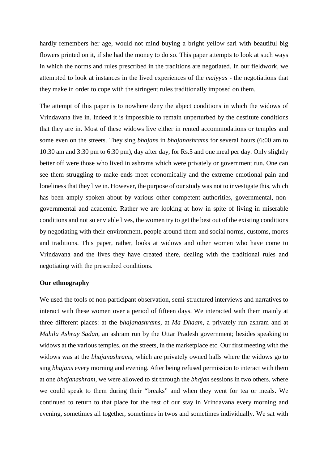hardly remembers her age, would not mind buying a bright yellow sari with beautiful big flowers printed on it, if she had the money to do so. This paper attempts to look at such ways in which the norms and rules prescribed in the traditions are negotiated. In our fieldwork, we attempted to look at instances in the lived experiences of the *maiyyas* - the negotiations that they make in order to cope with the stringent rules traditionally imposed on them.

The attempt of this paper is to nowhere deny the abject conditions in which the widows of Vrindavana live in. Indeed it is impossible to remain unperturbed by the destitute conditions that they are in. Most of these widows live either in rented accommodations or temples and some even on the streets. They sing *bhajans* in *bhajanashrams* for several hours (6:00 am to 10:30 am and 3:30 pm to 6:30 pm), day after day, for Rs.5 and one meal per day. Only slightly better off were those who lived in ashrams which were privately or government run. One can see them struggling to make ends meet economically and the extreme emotional pain and loneliness that they live in. However, the purpose of our study was not to investigate this, which has been amply spoken about by various other competent authorities, governmental, nongovernmental and academic. Rather we are looking at how in spite of living in miserable conditions and not so enviable lives, the women try to get the best out of the existing conditions by negotiating with their environment, people around them and social norms, customs, mores and traditions. This paper, rather, looks at widows and other women who have come to Vrindavana and the lives they have created there, dealing with the traditional rules and negotiating with the prescribed conditions.

#### **Our ethnography**

We used the tools of non-participant observation, semi-structured interviews and narratives to interact with these women over a period of fifteen days. We interacted with them mainly at three different places: at the *bhajanashrams*, at *Ma Dhaam*, a privately run ashram and at *Mahila Ashray Sadan,* an ashram run by the Uttar Pradesh government; besides speaking to widows at the various temples, on the streets, in the marketplace etc. Our first meeting with the widows was at the *bhajanashrams,* which are privately owned halls where the widows go to sing *bhajans* every morning and evening. After being refused permission to interact with them at one *bhajanashram*, we were allowed to sit through the *bhajan* sessions in two others, where we could speak to them during their "breaks" and when they went for tea or meals. We continued to return to that place for the rest of our stay in Vrindavana every morning and evening, sometimes all together, sometimes in twos and sometimes individually. We sat with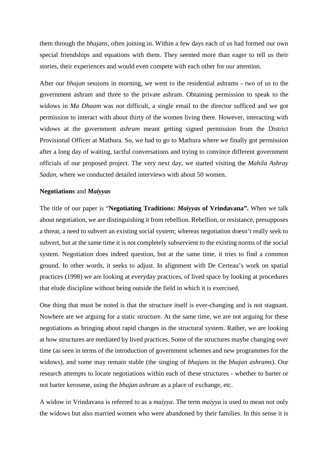them through the *bhajans*, often joining in. Within a few days each of us had formed our own special friendships and equations with them. They seemed more than eager to tell us their stories, their experiences and would even compete with each other for our attention.

After our *bhajan* sessions in morning, we went to the residential ashrams - two of us to the government ashram and three to the private ashram. Obtaining permission to speak to the widows in *Ma Dhaam* was not difficult, a single email to the director sufficed and we got permission to interact with about thirty of the women living there. However, interacting with widows at the government *ashram* meant getting signed permission from the District Provisional Officer at Mathura. So, we had to go to Mathura where we finally got permission after a long day of waiting, tactful conversations and trying to convince different government officials of our proposed project. The very next day, we started visiting the *Mahila Ashray Sadan,* where we conducted detailed interviews with about 50 women.

### **Negotiations** and *Maiyyas*

The title of our paper is "**Negotiating Traditions:** *Maiyyas* **of Vrindavana".** When we talk about negotiation, we are distinguishing it from rebellion. Rebellion, or resistance, presupposes a threat, a need to subvert an existing social system; whereas negotiation doesn't really seek to subvert, but at the same time it is not completely subservient to the existing norms of the social system. Negotiation does indeed question, but at the same time, it tries to find a common ground. In other words, it seeks to adjust. In alignment with De Certeau's work on spatial practices (1998) we are looking at everyday practices, of lived space by looking at procedures that elude discipline without being outside the field in which it is exercised.

One thing that must be noted is that the structure itself is ever-changing and is not stagnant. Nowhere are we arguing for a static structure. At the same time, we are not arguing for these negotiations as bringing about rapid changes in the structural system. Rather, we are looking at how structures are mediated by lived practices. Some of the structures maybe changing over time (as seen in terms of the introduction of government schemes and new programmes for the widows), and some may remain stable (the singing of *bhajans* in the *bhajan ashrams*). Our research attempts to locate negotiations within each of these structures - whether to barter or not barter kerosene, using the *bhajan ashram* as a place of exchange, etc.

A widow in Vrindavana is referred to as a *maiyya*. The term *maiyya* is used to mean not only the widows but also married women who were abandoned by their families. In this sense it is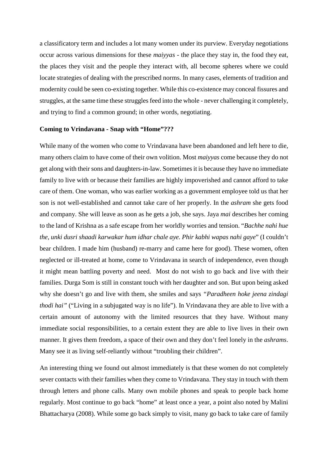a classificatory term and includes a lot many women under its purview. Everyday negotiations occur across various dimensions for these *maiyyas* - the place they stay in, the food they eat, the places they visit and the people they interact with, all become spheres where we could locate strategies of dealing with the prescribed norms. In many cases, elements of tradition and modernity could be seen co-existing together. While this co-existence may conceal fissures and struggles, at the same time these struggles feed into the whole - never challenging it completely, and trying to find a common ground; in other words, negotiating.

#### **Coming to Vrindavana - Snap with "Home"???**

While many of the women who come to Vrindavana have been abandoned and left here to die, many others claim to have come of their own volition. Most *maiyyas* come because they do not get along with their sons and daughters-in-law. Sometimes it is because they have no immediate family to live with or because their families are highly impoverished and cannot afford to take care of them. One woman, who was earlier working as a government employee told us that her son is not well-established and cannot take care of her properly. In the *ashram* she gets food and company. She will leave as soon as he gets a job, she says. Jaya *mai* describes her coming to the land of Krishna as a safe escape from her worldly worries and tension. "*Bachhe nahi hue the, unki dusri shaadi karwakar hum idhar chale aye. Phir kabhi wapas nahi gaye*" (I couldn't bear children. I made him (husband) re-marry and came here for good). These women, often neglected or ill-treated at home, come to Vrindavana in search of independence, even though it might mean battling poverty and need. Most do not wish to go back and live with their families. Durga Som is still in constant touch with her daughter and son. But upon being asked why she doesn't go and live with them, she smiles and says *"Paradheen hoke jeena zindagi thodi hai"* ("Living in a subjugated way is no life"). In Vrindavana they are able to live with a certain amount of autonomy with the limited resources that they have. Without many immediate social responsibilities, to a certain extent they are able to live lives in their own manner. It gives them freedom, a space of their own and they don't feel lonely in the *ashrams*. Many see it as living self-reliantly without "troubling their children".

An interesting thing we found out almost immediately is that these women do not completely sever contacts with their families when they come to Vrindavana. They stay in touch with them through letters and phone calls. Many own mobile phones and speak to people back home regularly. Most continue to go back "home" at least once a year, a point also noted by Malini Bhattacharya (2008). While some go back simply to visit, many go back to take care of family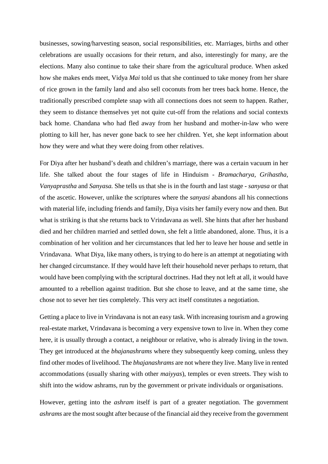businesses, sowing/harvesting season, social responsibilities, etc. Marriages, births and other celebrations are usually occasions for their return, and also, interestingly for many, are the elections. Many also continue to take their share from the agricultural produce. When asked how she makes ends meet, Vidya *Mai* told us that she continued to take money from her share of rice grown in the family land and also sell coconuts from her trees back home. Hence, the traditionally prescribed complete snap with all connections does not seem to happen. Rather, they seem to distance themselves yet not quite cut-off from the relations and social contexts back home. Chandana who had fled away from her husband and mother-in-law who were plotting to kill her, has never gone back to see her children. Yet, she kept information about how they were and what they were doing from other relatives.

For Diya after her husband's death and children's marriage, there was a certain vacuum in her life. She talked about the four stages of life in Hinduism - *Bramacharya, Grihastha, Vanyaprastha* and *Sanyasa.* She tells us that she is in the fourth and last stage - *sanyasa* or that of the ascetic. However, unlike the scriptures where the *sanyasi* abandons all his connections with material life, including friends and family, Diya visits her family every now and then. But what is striking is that she returns back to Vrindavana as well. She hints that after her husband died and her children married and settled down, she felt a little abandoned, alone. Thus, it is a combination of her volition and her circumstances that led her to leave her house and settle in Vrindavana. What Diya, like many others, is trying to do here is an attempt at negotiating with her changed circumstance. If they would have left their household never perhaps to return, that would have been complying with the scriptural doctrines. Had they not left at all, it would have amounted to a rebellion against tradition. But she chose to leave, and at the same time, she chose not to sever her ties completely. This very act itself constitutes a negotiation.

Getting a place to live in Vrindavana is not an easy task. With increasing tourism and a growing real-estate market, Vrindavana is becoming a very expensive town to live in. When they come here, it is usually through a contact, a neighbour or relative, who is already living in the town. They get introduced at the *bhajanashrams* where they subsequently keep coming, unless they find other modes of livelihood. The *bhajanashrams* are not where they live. Many live in rented accommodations (usually sharing with other *maiyyas*), temples or even streets. They wish to shift into the widow ashrams, run by the government or private individuals or organisations.

However, getting into the *ashram* itself is part of a greater negotiation. The government *ashrams* are the most sought after because of the financial aid they receive from the government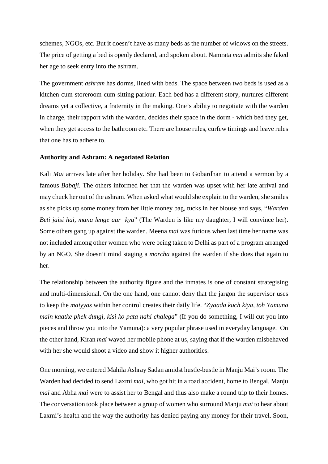schemes, NGOs, etc. But it doesn't have as many beds as the number of widows on the streets. The price of getting a bed is openly declared, and spoken about. Namrata *mai* admits she faked her age to seek entry into the ashram.

The government *ashram* has dorms, lined with beds. The space between two beds is used as a kitchen-cum-storeroom-cum-sitting parlour. Each bed has a different story, nurtures different dreams yet a collective, a fraternity in the making. One's ability to negotiate with the warden in charge, their rapport with the warden, decides their space in the dorm - which bed they get, when they get access to the bathroom etc. There are house rules, curfew timings and leave rules that one has to adhere to.

## **Authority and Ashram: A negotiated Relation**

Kali *Mai* arrives late after her holiday. She had been to Gobardhan to attend a sermon by a famous *Babaji*. The others informed her that the warden was upset with her late arrival and may chuck her out of the ashram. When asked what would she explain to the warden, she smiles as she picks up some money from her little money bag, tucks in her blouse and says, "*Warden Beti jaisi hai, mana lenge aur kya*" (The Warden is like my daughter, I will convince her). Some others gang up against the warden. Meena *mai* was furious when last time her name was not included among other women who were being taken to Delhi as part of a program arranged by an NGO. She doesn't mind staging a *morcha* against the warden if she does that again to her.

The relationship between the authority figure and the inmates is one of constant strategising and multi-dimensional. On the one hand, one cannot deny that the jargon the supervisor uses to keep the *maiyyas* within her control creates their daily life. "*Zyaada kuch kiya, toh Yamuna main kaatke phek dungi, kisi ko pata nahi chalega*" (If you do something, I will cut you into pieces and throw you into the Yamuna): a very popular phrase used in everyday language. On the other hand, Kiran *mai* waved her mobile phone at us, saying that if the warden misbehaved with her she would shoot a video and show it higher authorities.

One morning, we entered Mahila Ashray Sadan amidst hustle-bustle in Manju Mai's room. The Warden had decided to send Laxmi *mai,* who got hit in a road accident, home to Bengal. Manju *mai* and Abha *mai* were to assist her to Bengal and thus also make a round trip to their homes. The conversation took place between a group of women who surround Manju *mai* to hear about Laxmi's health and the way the authority has denied paying any money for their travel. Soon,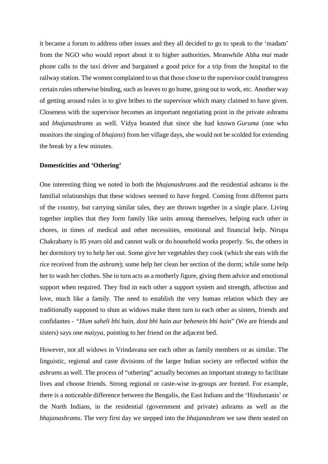it became a forum to address other issues and they all decided to go to speak to the 'madam' from the NGO who would report about it to higher authorities. Meanwhile Abha *mai* made phone calls to the taxi driver and bargained a good price for a trip from the hospital to the railway station. The women complained to us that those close to the supervisor could transgress certain rules otherwise binding, such as leaves to go home, going out to work, etc. Another way of getting around rules is to give bribes to the supervisor which many claimed to have given. Closeness with the supervisor becomes an important negotiating point in the private ashrams and *bhajanashrams* as well. Vidya boasted that since she had known *Guruma* (one who monitors the singing of *bhajans*) from her village days, she would not be scolded for extending the break by a few minutes.

#### **Domesticities and 'Othering'**

One interesting thing we noted in both the *bhajanashrams* and the residential ashrams is the familial relationships that these widows seemed to have forged. Coming from different parts of the country, but carrying similar tales, they are thrown together in a single place. Living together implies that they form family like units among themselves, helping each other in chores, in times of medical and other necessities, emotional and financial help. Nirupa Chakrabarty is 85 years old and cannot walk or do household works properly. So, the others in her dormitory try to help her out. Some give her vegetables they cook (which she eats with the rice received from the *ashram*); some help her clean her section of the dorm; while some help her to wash her clothes. She in turn acts as a motherly figure, giving them advice and emotional support when required. They find in each other a support system and strength, affection and love, much like a family. The need to establish the very human relation which they are traditionally supposed to shun as widows make them turn to each other as sisters, friends and confidantes - *"Hum saheli bhi hain, dost bhi hain aur behenein bhi hain*" (We are friends and sisters) says one *maiyya,* pointing to her friend on the adjacent bed.

However, not all widows in Vrindavana see each other as family members or as similar. The linguistic, regional and caste divisions of the larger Indian society are reflected within the *ashrams* as well. The process of "othering" actually becomes an important strategy to facilitate lives and choose friends. Strong regional or caste-wise in-groups are formed. For example, there is a noticeable difference between the Bengalis, the East Indians and the 'Hindustanis' or the North Indians, in the residential (government and private) ashrams as well as the *bhajanashrams*. The very first day we stepped into the *bhajanashram* we saw them seated on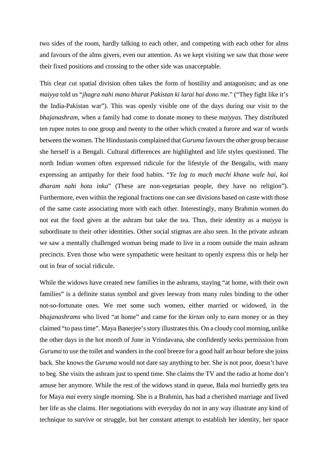two sides of the room, hardly talking to each other, and competing with each other for alms and favours of the alms givers, even our attention. As we kept visiting we saw that those were their fixed positions and crossing to the other side was unacceptable.

This clear cut spatial division often takes the form of hostility and antagonism; and as one *maiyya* told us "*jhagra nahi mano bharat Pakistan ki larai hai dono me*." ("They fight like it's the India-Pakistan war"). This was openly visible one of the days during our visit to the *bhajanashram,* when a family had come to donate money to these *maiyyas*. They distributed ten rupee notes to one group and twenty to the other which created a furore and war of words between the women. The Hindustanis complained that *Guruma* favours the other group because she herself is a Bengali. Cultural differences are highlighted and life styles questioned. The north Indian women often expressed ridicule for the lifestyle of the Bengalis, with many expressing an antipathy for their food habits. "*Ye log to mach machi khane wale hai, koi dharam nahi hota inka*" (These are non-vegetarian people, they have no religion"). Furthermore, even within the regional fractions one can see divisions based on caste with those of the same caste associating more with each other. Interestingly, many Brahmin women do not eat the food given at the ashram but take the tea. Thus, their identity as a *maiyya* is subordinate to their other identities. Other social stigmas are also seen. In the private ashram we saw a mentally challenged woman being made to live in a room outside the main ashram precincts. Even those who were sympathetic were hesitant to openly express this or help her out in fear of social ridicule.

While the widows have created new families in the ashrams, staying "at home, with their own families" is a definite status symbol and gives leeway from many rules binding to the other not-so-fortunate ones. We met some such women, either married or widowed, in the *bhajanashrams* who lived "at home" and came for the *kirtan* only to earn money or as they claimed "to pass time". Maya Banerjee's story illustrates this. On a cloudy cool morning, unlike the other days in the hot month of June in Vrindavana, she confidently seeks permission from *Guruma* to use the toilet and wanders in the cool breeze for a good half an hour before she joins back. She knows the *Guruma* would not dare say anything to her. She is not poor, doesn't have to beg. She visits the ashram just to spend time. She claims the TV and the radio at home don't amuse her anymore. While the rest of the widows stand in queue, Bala *mai* hurriedly gets tea for Maya *mai* every single morning. She is a Brahmin, has had a cherished marriage and lived her life as she claims. Her negotiations with everyday do not in any way illustrate any kind of technique to survive or struggle, but her constant attempt to establish her identity, her space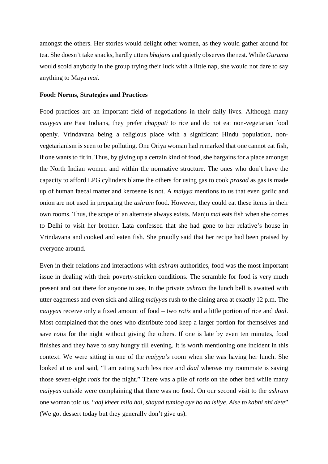amongst the others. Her stories would delight other women, as they would gather around for tea. She doesn't take snacks, hardly utters *bhajans* and quietly observes the rest. While *Guruma* would scold anybody in the group trying their luck with a little nap, she would not dare to say anything to Maya *mai.* 

#### **Food: Norms, Strategies and Practices**

Food practices are an important field of negotiations in their daily lives. Although many *maiyyas* are East Indians, they prefer *chappati* to rice and do not eat non-vegetarian food openly. Vrindavana being a religious place with a significant Hindu population, nonvegetarianism is seen to be polluting. One Oriya woman had remarked that one cannot eat fish, if one wants to fit in. Thus, by giving up a certain kind of food, she bargains for a place amongst the North Indian women and within the normative structure. The ones who don't have the capacity to afford LPG cylinders blame the others for using gas to cook *prasad* as gas is made up of human faecal matter and kerosene is not. A *maiyya* mentions to us that even garlic and onion are not used in preparing the *ashram* food. However, they could eat these items in their own rooms. Thus, the scope of an alternate always exists. Manju *mai* eats fish when she comes to Delhi to visit her brother. Lata confessed that she had gone to her relative's house in Vrindavana and cooked and eaten fish. She proudly said that her recipe had been praised by everyone around.

Even in their relations and interactions with *ashram* authorities, food was the most important issue in dealing with their poverty-stricken conditions. The scramble for food is very much present and out there for anyone to see. In the private *ashram* the lunch bell is awaited with utter eagerness and even sick and ailing *maiyyas* rush to the dining area at exactly 12 p.m. The *maiyyas* receive only a fixed amount of food – two *rotis* and a little portion of rice and *daal*. Most complained that the ones who distribute food keep a larger portion for themselves and save *rotis* for the night without giving the others. If one is late by even ten minutes, food finishes and they have to stay hungry till evening. It is worth mentioning one incident in this context. We were sitting in one of the *maiyya's* room when she was having her lunch. She looked at us and said, "I am eating such less rice and *daal* whereas my roommate is saving those seven-eight *rotis* for the night." There was a pile of *rotis* on the other bed while many *maiyyas* outside were complaining that there was no food. On our second visit to the *ashram* one woman told us, "*aaj kheer mila hai, shayad tumlog aye ho na isliye*. *Aise to kabhi nhi dete*" (We got dessert today but they generally don't give us).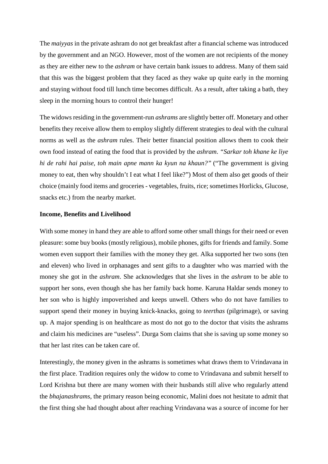The *maiyyas* in the private ashram do not get breakfast after a financial scheme was introduced by the government and an NGO. However, most of the women are not recipients of the money as they are either new to the *ashram* or have certain bank issues to address. Many of them said that this was the biggest problem that they faced as they wake up quite early in the morning and staying without food till lunch time becomes difficult. As a result, after taking a bath, they sleep in the morning hours to control their hunger!

The widows residing in the government-run *ashrams* are slightly better off. Monetary and other benefits they receive allow them to employ slightly different strategies to deal with the cultural norms as well as the *ashram* rules. Their better financial position allows them to cook their own food instead of eating the food that is provided by the *ashram*. *"Sarkar toh khane ke liye hi de rahi hai paise, toh main apne mann ka kyun na khaun?"* ("The government is giving money to eat, then why shouldn't I eat what I feel like?") Most of them also get goods of their choice (mainly food items and groceries - vegetables, fruits, rice; sometimes Horlicks, Glucose, snacks etc.) from the nearby market.

#### **Income, Benefits and Livelihood**

With some money in hand they are able to afford some other small things for their need or even pleasure: some buy books (mostly religious), mobile phones, gifts for friends and family. Some women even support their families with the money they get. Alka supported her two sons (ten and eleven) who lived in orphanages and sent gifts to a daughter who was married with the money she got in the *ashram*. She acknowledges that she lives in the *ashram* to be able to support her sons, even though she has her family back home. Karuna Haldar sends money to her son who is highly impoverished and keeps unwell. Others who do not have families to support spend their money in buying knick-knacks, going to *teerthas* (pilgrimage), or saving up. A major spending is on healthcare as most do not go to the doctor that visits the ashrams and claim his medicines are "useless". Durga Som claims that she is saving up some money so that her last rites can be taken care of.

Interestingly, the money given in the ashrams is sometimes what draws them to Vrindavana in the first place. Tradition requires only the widow to come to Vrindavana and submit herself to Lord Krishna but there are many women with their husbands still alive who regularly attend the *bhajanashrams*, the primary reason being economic, Malini does not hesitate to admit that the first thing she had thought about after reaching Vrindavana was a source of income for her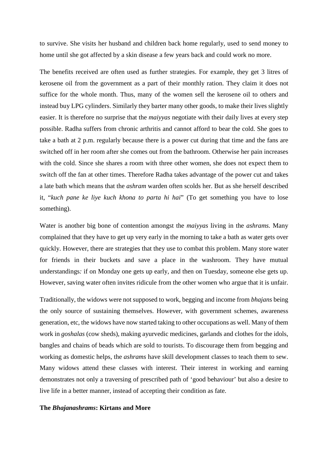to survive. She visits her husband and children back home regularly, used to send money to home until she got affected by a skin disease a few years back and could work no more.

The benefits received are often used as further strategies. For example, they get 3 litres of kerosene oil from the government as a part of their monthly ration. They claim it does not suffice for the whole month. Thus, many of the women sell the kerosene oil to others and instead buy LPG cylinders. Similarly they barter many other goods, to make their lives slightly easier. It is therefore no surprise that the *maiyyas* negotiate with their daily lives at every step possible. Radha suffers from chronic arthritis and cannot afford to bear the cold. She goes to take a bath at 2 p.m. regularly because there is a power cut during that time and the fans are switched off in her room after she comes out from the bathroom. Otherwise her pain increases with the cold. Since she shares a room with three other women, she does not expect them to switch off the fan at other times. Therefore Radha takes advantage of the power cut and takes a late bath which means that the *ashram* warden often scolds her. But as she herself described it, "*kuch pane ke liye kuch khona to parta hi hai*" (To get something you have to lose something).

Water is another big bone of contention amongst the *maiyyas* living in the *ashrams.* Many complained that they have to get up very early in the morning to take a bath as water gets over quickly. However, there are strategies that they use to combat this problem. Many store water for friends in their buckets and save a place in the washroom. They have mutual understandings*:* if on Monday one gets up early, and then on Tuesday, someone else gets up. However, saving water often invites ridicule from the other women who argue that it is unfair.

Traditionally, the widows were not supposed to work, begging and income from *bhajans* being the only source of sustaining themselves. However, with government schemes, awareness generation, etc, the widows have now started taking to other occupations as well. Many of them work in *goshalas* (cow sheds), making ayurvedic medicines, garlands and clothes for the idols, bangles and chains of beads which are sold to tourists. To discourage them from begging and working as domestic helps, the *ashrams* have skill development classes to teach them to sew. Many widows attend these classes with interest. Their interest in working and earning demonstrates not only a traversing of prescribed path of 'good behaviour' but also a desire to live life in a better manner, instead of accepting their condition as fate.

#### **The** *Bhajanashrams***: Kirtans and More**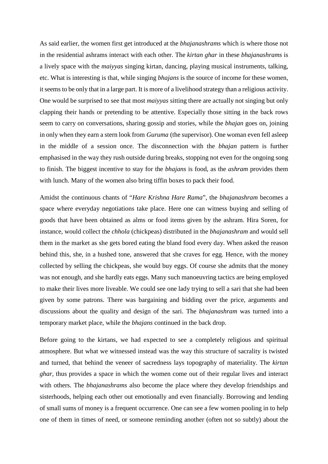As said earlier, the women first get introduced at the *bhajanashrams* which is where those not in the residential ashrams interact with each other. The *kirtan ghar* in these *bhajanashrams* is a lively space with the *maiyyas* singing kirtan, dancing, playing musical instruments, talking, etc. What is interesting is that, while singing *bhajans* is the source of income for these women, it seems to be only that in a large part. It is more of a livelihood strategy than a religious activity. One would be surprised to see that most *maiyyas* sitting there are actually not singing but only clapping their hands or pretending to be attentive. Especially those sitting in the back rows seem to carry on conversations, sharing gossip and stories, while the *bhajan* goes on, joining in only when they earn a stern look from *Guruma* (the supervisor). One woman even fell asleep in the middle of a session once. The disconnection with the *bhajan* pattern is further emphasised in the way they rush outside during breaks, stopping not even for the ongoing song to finish. The biggest incentive to stay for the *bhajans* is food, as the *ashram* provides them with lunch. Many of the women also bring tiffin boxes to pack their food.

Amidst the continuous chants of "*Hare Krishna Hare Rama*", the *bhajanashram* becomes a space where everyday negotiations take place. Here one can witness buying and selling of goods that have been obtained as alms or food items given by the ashram. Hira Soren, for instance, would collect the *chhola* (chickpeas) distributed in the *bhajanashram* and would sell them in the market as she gets bored eating the bland food every day. When asked the reason behind this, she, in a hushed tone, answered that she craves for egg. Hence, with the money collected by selling the chickpeas, she would buy eggs. Of course she admits that the money was not enough, and she hardly eats eggs. Many such manoeuvring tactics are being employed to make their lives more liveable. We could see one lady trying to sell a sari that she had been given by some patrons. There was bargaining and bidding over the price, arguments and discussions about the quality and design of the sari. The *bhajanashram* was turned into a temporary market place, while the *bhajans* continued in the back drop.

Before going to the kirtans, we had expected to see a completely religious and spiritual atmosphere. But what we witnessed instead was the way this structure of sacrality is twisted and turned, that behind the veneer of sacredness lays topography of materiality. The *kirtan ghar,* thus provides a space in which the women come out of their regular lives and interact with others. The *bhajanashrams* also become the place where they develop friendships and sisterhoods, helping each other out emotionally and even financially. Borrowing and lending of small sums of money is a frequent occurrence. One can see a few women pooling in to help one of them in times of need, or someone reminding another (often not so subtly) about the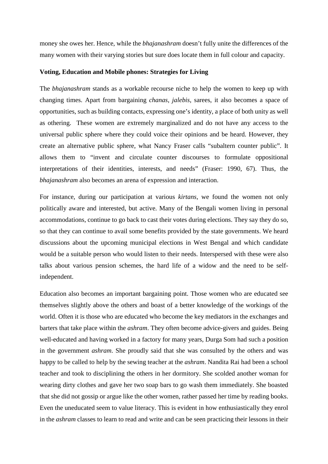money she owes her. Hence, while the *bhajanashram* doesn't fully unite the differences of the many women with their varying stories but sure does locate them in full colour and capacity.

## **Voting, Education and Mobile phones: Strategies for Living**

The *bhajanashram* stands as a workable recourse niche to help the women to keep up with changing times. Apart from bargaining *chanas*, *jalebis*, sarees, it also becomes a space of opportunities, such as building contacts, expressing one's identity, a place of both unity as well as othering. These women are extremely marginalized and do not have any access to the universal public sphere where they could voice their opinions and be heard. However, they create an alternative public sphere, what Nancy Fraser calls "subaltern counter public". It allows them to "invent and circulate counter discourses to formulate oppositional interpretations of their identities, interests, and needs" (Fraser: 1990, 67). Thus, the *bhajanashram* also becomes an arena of expression and interaction.

For instance, during our participation at various *kirtans*, we found the women not only politically aware and interested, but active. Many of the Bengali women living in personal accommodations, continue to go back to cast their votes during elections. They say they do so, so that they can continue to avail some benefits provided by the state governments. We heard discussions about the upcoming municipal elections in West Bengal and which candidate would be a suitable person who would listen to their needs. Interspersed with these were also talks about various pension schemes, the hard life of a widow and the need to be selfindependent.

Education also becomes an important bargaining point. Those women who are educated see themselves slightly above the others and boast of a better knowledge of the workings of the world. Often it is those who are educated who become the key mediators in the exchanges and barters that take place within the *ashram*. They often become advice-givers and guides. Being well-educated and having worked in a factory for many years, Durga Som had such a position in the government *ashram*. She proudly said that she was consulted by the others and was happy to be called to help by the sewing teacher at the *ashram*. Nandita Rai had been a school teacher and took to disciplining the others in her dormitory. She scolded another woman for wearing dirty clothes and gave her two soap bars to go wash them immediately. She boasted that she did not gossip or argue like the other women, rather passed her time by reading books. Even the uneducated seem to value literacy. This is evident in how enthusiastically they enrol in the *ashram* classes to learn to read and write and can be seen practicing their lessons in their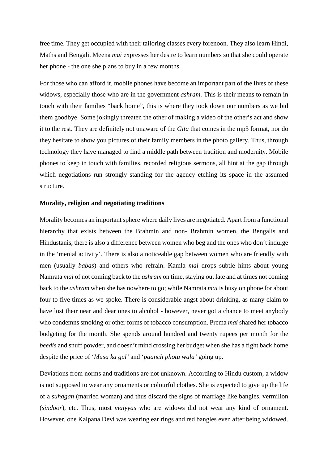free time. They get occupied with their tailoring classes every forenoon. They also learn Hindi, Maths and Bengali. Meena *mai* expresses her desire to learn numbers so that she could operate her phone - the one she plans to buy in a few months.

For those who can afford it, mobile phones have become an important part of the lives of these widows, especially those who are in the government *ashram*. This is their means to remain in touch with their families "back home", this is where they took down our numbers as we bid them goodbye. Some jokingly threaten the other of making a video of the other's act and show it to the rest. They are definitely not unaware of the *Gita* that comes in the mp3 format, nor do they hesitate to show you pictures of their family members in the photo gallery. Thus, through technology they have managed to find a middle path between tradition and modernity. Mobile phones to keep in touch with families, recorded religious sermons, all hint at the gap through which negotiations run strongly standing for the agency etching its space in the assumed structure.

#### **Morality, religion and negotiating traditions**

Morality becomes an important sphere where daily lives are negotiated. Apart from a functional hierarchy that exists between the Brahmin and non- Brahmin women, the Bengalis and Hindustanis, there is also a difference between women who beg and the ones who don't indulge in the 'menial activity'. There is also a noticeable gap between women who are friendly with men (usually *babas*) and others who refrain. Kamla *mai* drops subtle hints about young Namrata *mai* of not coming back to the *ashram* on time, staying out late and at times not coming back to the *ashram* when she has nowhere to go; while Namrata *mai* is busy on phone for about four to five times as we spoke. There is considerable angst about drinking, as many claim to have lost their near and dear ones to alcohol - however, never got a chance to meet anybody who condemns smoking or other forms of tobacco consumption. Prema *mai* shared her tobacco budgeting for the month. She spends around hundred and twenty rupees per month for the *beedis* and snuff powder, and doesn't mind crossing her budget when she has a fight back home despite the price of '*Musa ka gul'* and '*paanch photu wala'* going up.

Deviations from norms and traditions are not unknown. According to Hindu custom, a widow is not supposed to wear any ornaments or colourful clothes. She is expected to give up the life of a *suhagan* (married woman) and thus discard the signs of marriage like bangles, vermilion (*sindoor*), etc. Thus, most *maiyyas* who are widows did not wear any kind of ornament. However, one Kalpana Devi was wearing ear rings and red bangles even after being widowed.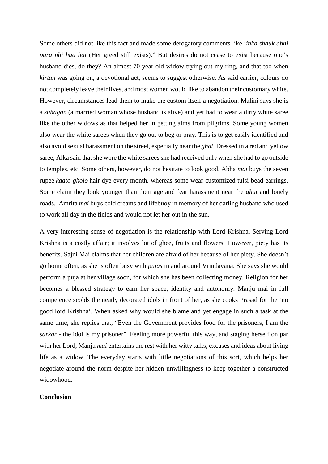Some others did not like this fact and made some derogatory comments like '*inka shauk abhi pura nhi hua hai* (Her greed still exists)." But desires do not cease to exist because one's husband dies, do they? An almost 70 year old widow trying out my ring, and that too when *kirtan* was going on, a devotional act, seems to suggest otherwise. As said earlier, colours do not completely leave their lives, and most women would like to abandon their customary white. However, circumstances lead them to make the custom itself a negotiation. Malini says she is a *suhagan* (a married woman whose husband is alive) and yet had to wear a dirty white saree like the other widows as that helped her in getting alms from pilgrims. Some young women also wear the white sarees when they go out to beg or pray. This is to get easily identified and also avoid sexual harassment on the street, especially near the *ghat*. Dressed in a red and yellow saree, Alka said that she wore the white sarees she had received only when she had to go outside to temples, etc. Some others, however, do not hesitate to look good. Abha *mai* buys the seven rupee *kaato-gholo* hair dye every month, whereas some wear customized tulsi bead earrings. Some claim they look younger than their age and fear harassment near the *ghat* and lonely roads. Amrita *mai* buys cold creams and lifebuoy in memory of her darling husband who used to work all day in the fields and would not let her out in the sun.

A very interesting sense of negotiation is the relationship with Lord Krishna. Serving Lord Krishna is a costly affair; it involves lot of ghee, fruits and flowers. However, piety has its benefits. Sajni Mai claims that her children are afraid of her because of her piety. She doesn't go home often, as she is often busy with *pujas* in and around Vrindavana. She says she would perform a puja at her village soon, for which she has been collecting money. Religion for her becomes a blessed strategy to earn her space, identity and autonomy. Manju mai in full competence scolds the neatly decorated idols in front of her, as she cooks Prasad for the 'no good lord Krishna'. When asked why would she blame and yet engage in such a task at the same time, she replies that, "Even the Government provides food for the prisoners, I am the *sarkar* - the idol is my prisoner". Feeling more powerful this way, and staging herself on par with her Lord, Manju *mai* entertains the rest with her witty talks, excuses and ideas about living life as a widow. The everyday starts with little negotiations of this sort, which helps her negotiate around the norm despite her hidden unwillingness to keep together a constructed widowhood.

## **Conclusion**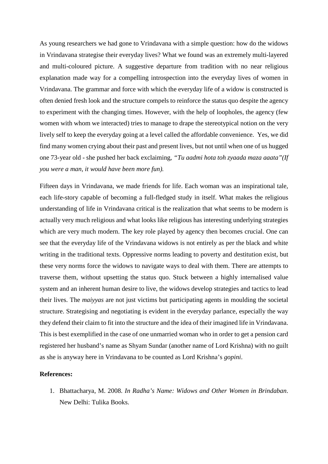As young researchers we had gone to Vrindavana with a simple question: how do the widows in Vrindavana strategise their everyday lives? What we found was an extremely multi-layered and multi-coloured picture. A suggestive departure from tradition with no near religious explanation made way for a compelling introspection into the everyday lives of women in Vrindavana. The grammar and force with which the everyday life of a widow is constructed is often denied fresh look and the structure compels to reinforce the status quo despite the agency to experiment with the changing times. However, with the help of loopholes, the agency (few women with whom we interacted) tries to manage to drape the stereotypical notion on the very lively self to keep the everyday going at a level called the affordable convenience. Yes, we did find many women crying about their past and present lives, but not until when one of us hugged one 73-year old - she pushed her back exclaiming, *"Tu aadmi hota toh zyaada maza aaata"(If you were a man, it would have been more fun).*

Fifteen days in Vrindavana, we made friends for life. Each woman was an inspirational tale, each life-story capable of becoming a full-fledged study in itself. What makes the religious understanding of life in Vrindavana critical is the realization that what seems to be modern is actually very much religious and what looks like religious has interesting underlying strategies which are very much modern. The key role played by agency then becomes crucial. One can see that the everyday life of the Vrindavana widows is not entirely as per the black and white writing in the traditional texts. Oppressive norms leading to poverty and destitution exist, but these very norms force the widows to navigate ways to deal with them. There are attempts to traverse them, without upsetting the status quo. Stuck between a highly internalised value system and an inherent human desire to live, the widows develop strategies and tactics to lead their lives. The *maiyyas* are not just victims but participating agents in moulding the societal structure. Strategising and negotiating is evident in the everyday parlance, especially the way they defend their claim to fit into the structure and the idea of their imagined life in Vrindavana. This is best exemplified in the case of one unmarried woman who in order to get a pension card registered her husband's name as Shyam Sundar (another name of Lord Krishna) with no guilt as she is anyway here in Vrindavana to be counted as Lord Krishna's *gopini*.

#### **References:**

1. Bhattacharya, M. 2008. *In Radha's Name: Widows and Other Women in Brindaban*. New Delhi: Tulika Books.